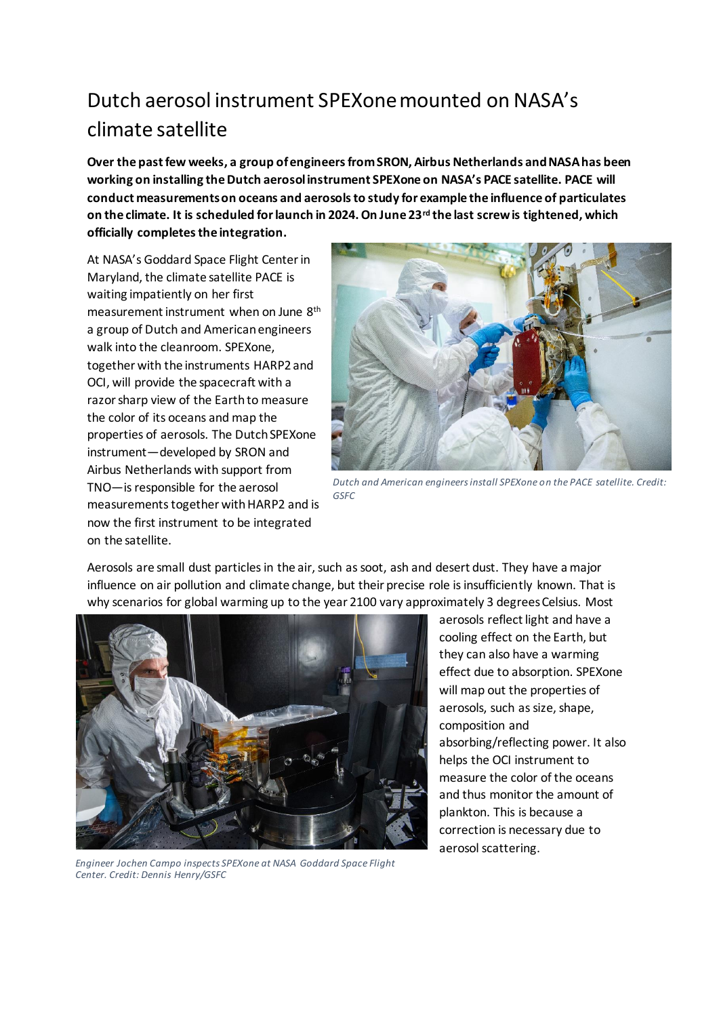## Dutch aerosol instrument SPEXone mounted on NASA's climate satellite

**Over the past few weeks, a group of engineers from SRON, Airbus Netherlands and NASA has been working on installing the Dutch aerosol instrument SPEXone on NASA's PACE satellite. PACE will conduct measurements on oceans and aerosols to study for example the influence of particulates on the climate. It is scheduled for launch in 2024. On June 23rd the last screw is tightened, which officially completes the integration.**

At NASA's Goddard Space Flight Center in Maryland, the climate satellite PACE is waiting impatiently on her first measurement instrument when on June 8th a group of Dutch and American engineers walk into the cleanroom. SPEXone, together with the instruments HARP2 and OCI, will provide the spacecraft with a razor sharp view of the Earthto measure the color of its oceans and map the properties of aerosols. The Dutch SPEXone instrument—developed by SRON and Airbus Netherlands with support from TNO—is responsible for the aerosol measurements together with HARP2 and is now the first instrument to be integrated on the satellite.



*Dutch and American engineers install SPEXone on the PACE satellite. Credit: GSFC*

Aerosols are small dust particles in the air, such as soot, ash and desert dust. They have a major influence on air pollution and climate change, but their precise role is insufficiently known. That is why scenarios for global warming up to the year 2100 vary approximately 3 degrees Celsius. Most



*Engineer Jochen Campo inspects SPEXone at NASA Goddard Space Flight Center. Credit: Dennis Henry/GSFC*

aerosols reflect light and have a cooling effect on the Earth, but they can also have a warming effect due to absorption. SPEXone will map out the properties of aerosols, such as size, shape, composition and absorbing/reflecting power. It also helps the OCI instrument to measure the color of the oceans and thus monitor the amount of plankton. This is because a correction is necessary due to aerosol scattering.